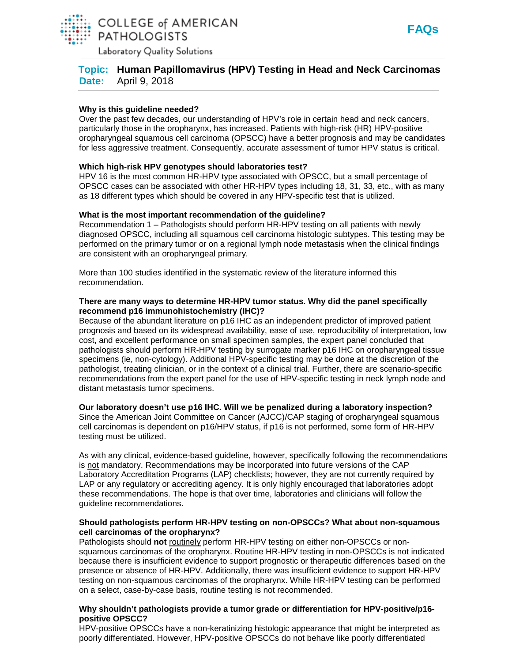

Laboratory Quality Solutions

# **Topic: Human Papillomavirus (HPV) Testing in Head and Neck Carcinomas Date:** April 9, 2018

#### **Why is this guideline needed?**

Over the past few decades, our understanding of HPV's role in certain head and neck cancers, particularly those in the oropharynx, has increased. Patients with high-risk (HR) HPV-positive oropharyngeal squamous cell carcinoma (OPSCC) have a better prognosis and may be candidates for less aggressive treatment. Consequently, accurate assessment of tumor HPV status is critical.

## **Which high-risk HPV genotypes should laboratories test?**

HPV 16 is the most common HR-HPV type associated with OPSCC, but a small percentage of OPSCC cases can be associated with other HR-HPV types including 18, 31, 33, etc., with as many as 18 different types which should be covered in any HPV-specific test that is utilized.

## **What is the most important recommendation of the guideline?**

Recommendation 1 – Pathologists should perform HR-HPV testing on all patients with newly diagnosed OPSCC, including all squamous cell carcinoma histologic subtypes. This testing may be performed on the primary tumor or on a regional lymph node metastasis when the clinical findings are consistent with an oropharyngeal primary.

More than 100 studies identified in the systematic review of the literature informed this recommendation.

#### **There are many ways to determine HR-HPV tumor status. Why did the panel specifically recommend p16 immunohistochemistry (IHC)?**

Because of the abundant literature on p16 IHC as an independent predictor of improved patient prognosis and based on its widespread availability, ease of use, reproducibility of interpretation, low cost, and excellent performance on small specimen samples, the expert panel concluded that pathologists should perform HR-HPV testing by surrogate marker p16 IHC on oropharyngeal tissue specimens (ie, non-cytology). Additional HPV-specific testing may be done at the discretion of the pathologist, treating clinician, or in the context of a clinical trial. Further, there are scenario-specific recommendations from the expert panel for the use of HPV-specific testing in neck lymph node and distant metastasis tumor specimens.

#### **Our laboratory doesn't use p16 IHC. Will we be penalized during a laboratory inspection?**

Since the American Joint Committee on Cancer (AJCC)/CAP staging of oropharyngeal squamous cell carcinomas is dependent on p16/HPV status, if p16 is not performed, some form of HR-HPV testing must be utilized.

As with any clinical, evidence-based guideline, however, specifically following the recommendations is not mandatory. Recommendations may be incorporated into future versions of the CAP Laboratory Accreditation Programs (LAP) checklists; however, they are not currently required by LAP or any regulatory or accrediting agency. It is only highly encouraged that laboratories adopt these recommendations. The hope is that over time, laboratories and clinicians will follow the guideline recommendations.

#### **Should pathologists perform HR-HPV testing on non-OPSCCs? What about non-squamous cell carcinomas of the oropharynx?**

Pathologists should not routinely perform HR-HPV testing on either non-OPSCCs or nonsquamous carcinomas of the oropharynx. Routine HR-HPV testing in non-OPSCCs is not indicated because there is insufficient evidence to support prognostic or therapeutic differences based on the presence or absence of HR-HPV. Additionally, there was insufficient evidence to support HR-HPV testing on non-squamous carcinomas of the oropharynx. While HR-HPV testing can be performed on a select, case-by-case basis, routine testing is not recommended.

## **Why shouldn't pathologists provide a tumor grade or differentiation for HPV-positive/p16 positive OPSCC?**

HPV-positive OPSCCs have a non-keratinizing histologic appearance that might be interpreted as poorly differentiated. However, HPV-positive OPSCCs do not behave like poorly differentiated